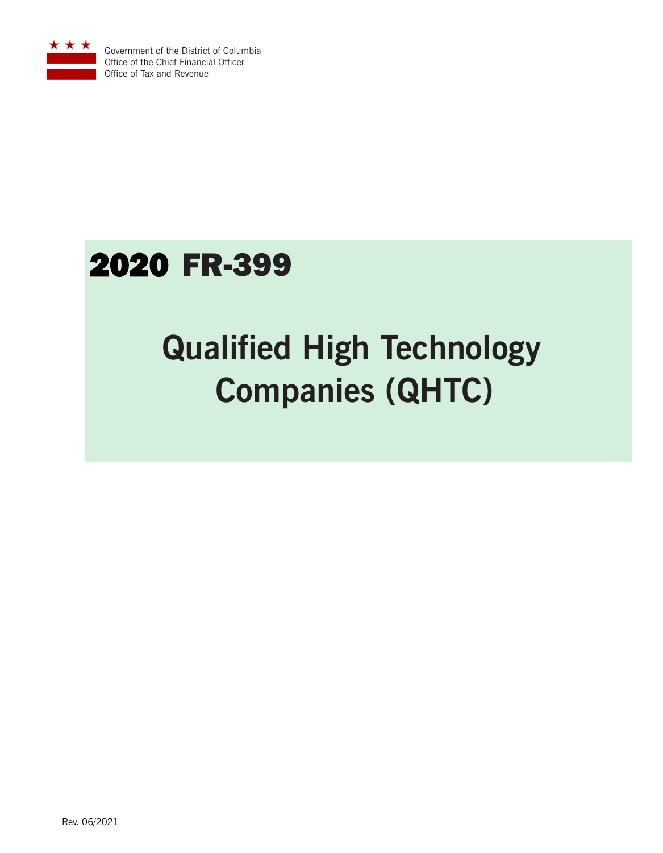

Government of the District of Columbia Office of the Chief Financial Officer Office of Tax and Revenue

# 2020 FR-399

# **Qualified High Technology Companies (QHTC)**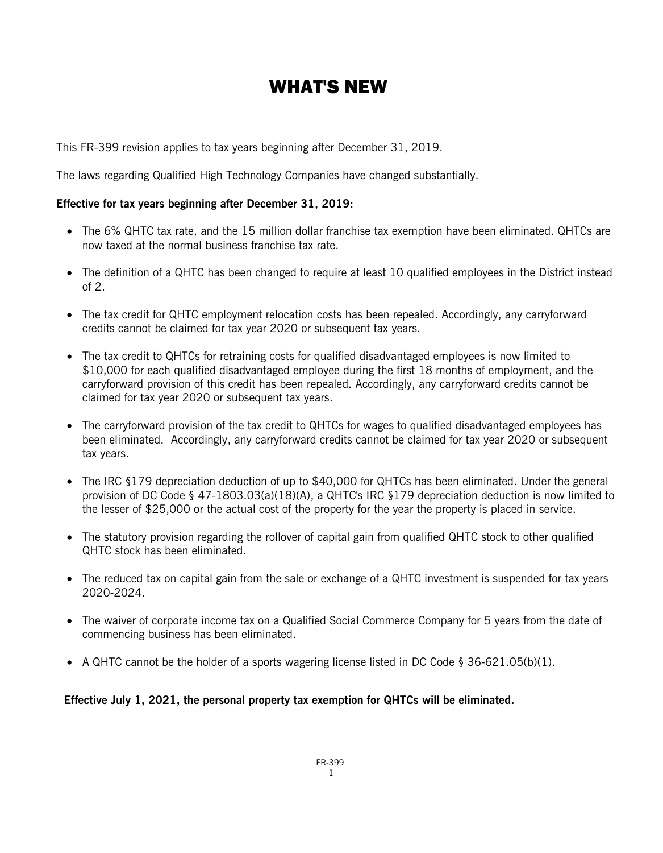## WHAT'S NEW

This FR-399 revision applies to tax years beginning after December 31, 2019.

The laws regarding Qualified High Technology Companies have changed substantially.

#### **Effective for tax years beginning after December 31, 2019:**

- The 6% QHTC tax rate, and the 15 million dollar franchise tax exemption have been eliminated. QHTCs are now taxed at the normal business franchise tax rate.
- The definition of a QHTC has been changed to require at least 10 qualified employees in the District instead of 2.
- The tax credit for QHTC employment relocation costs has been repealed. Accordingly, any carryforward credits cannot be claimed for tax year 2020 or subsequent tax years.
- The tax credit to QHTCs for retraining costs for qualified disadvantaged employees is now limited to \$10,000 for each qualified disadvantaged employee during the first 18 months of employment, and the carryforward provision of this credit has been repealed. Accordingly, any carryforward credits cannot be claimed for tax year 2020 or subsequent tax years.
- The carryforward provision of the tax credit to QHTCs for wages to qualified disadvantaged employees has been eliminated. Accordingly, any carryforward credits cannot be claimed for tax year 2020 or subsequent tax years.
- The IRC §179 depreciation deduction of up to \$40,000 for QHTCs has been eliminated. Under the general provision of DC Code § 47-1803.03(a)(18)(A), a QHTC's IRC §179 depreciation deduction is now limited to the lesser of \$25,000 or the actual cost of the property for the year the property is placed in service.
- The statutory provision regarding the rollover of capital gain from qualified QHTC stock to other qualified QHTC stock has been eliminated.
- The reduced tax on capital gain from the sale or exchange of a QHTC investment is suspended for tax years 2020-2024.
- The waiver of corporate income tax on a Qualified Social Commerce Company for 5 years from the date of commencing business has been eliminated.
- A QHTC cannot be the holder of a sports wagering license listed in DC Code § 36-621.05(b)(1).

#### **Effective July 1, 2021, the personal property tax exemption for QHTCs will be eliminated.**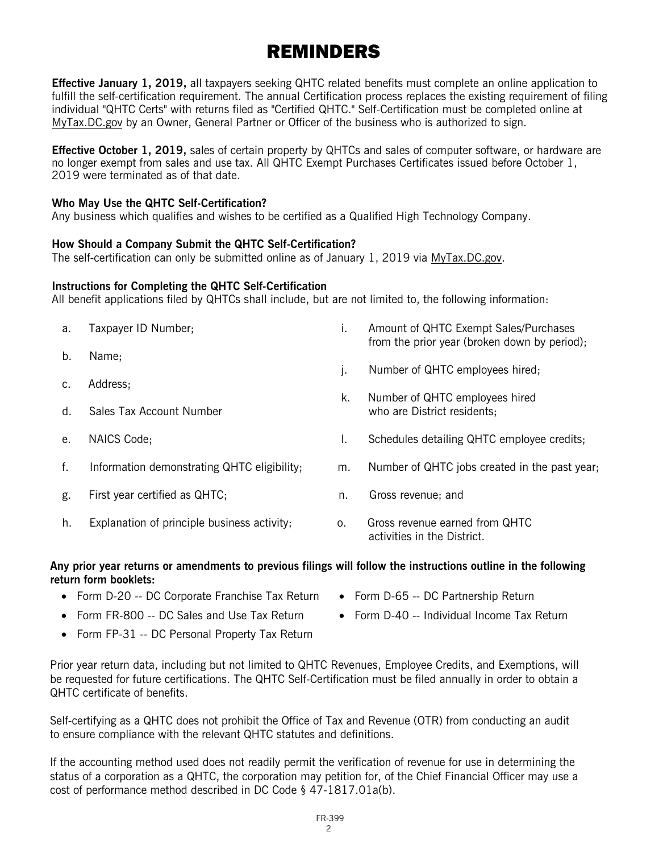### REMINDERS

**Effective January 1, 2019,** all taxpayers seeking QHTC related benefits must complete an online application to fulfill the self-certification requirement. The annual Certification process replaces the existing requirement of filing individual "QHTC Certs" with returns filed as "Certified QHTC." Self-Certification must be completed online at MyTax.DC.gov by an Owner, General Partner or Officer of the business who is authorized to sign.

**Effective October 1, 2019,** sales of certain property by QHTCs and sales of computer software, or hardware are no longer exempt from sales and use tax. All QHTC Exempt Purchases Certificates issued before October 1, 2019 were terminated as of that date.

#### **Who May Use the QHTC Self-Certification?**

Any business which qualifies and wishes to be certified as a Qualified High Technology Company.

#### **How Should a Company Submit the QHTC Self-Certification?**

The self-certification can only be submitted online as of January 1, 2019 via MyTax.DC.gov.

#### **Instructions for Completing the QHTC Self-Certification**

All benefit applications filed by QHTCs shall include, but are not limited to, the following information:

| a. | Taxpayer ID Number;                         | Τ.         | Amount of QHTC Exempt Sales/Purchases<br>from the prior year (broken down by period); |
|----|---------------------------------------------|------------|---------------------------------------------------------------------------------------|
| b. | Name;                                       | j.         | Number of QHTC employees hired;                                                       |
|    | Address;                                    | k.         | Number of QHTC employees hired                                                        |
| d. | Sales Tax Account Number                    |            | who are District residents;                                                           |
| e. | NAICS Code;                                 | ı.         | Schedules detailing QHTC employee credits;                                            |
| f. | Information demonstrating QHTC eligibility; | m.         | Number of QHTC jobs created in the past year,                                         |
| g. | First year certified as QHTC;               | n.         | Gross revenue; and                                                                    |
| h. | Explanation of principle business activity; | $\Omega$ . | Gross revenue earned from QHTC<br>activities in the District.                         |

#### **Any prior year returns or amendments to previous filings will follow the instructions outline in the following return form booklets:**

- Form D-20 -- DC Corporate Franchise Tax Return
- Form FR-800 -- DC Sales and Use Tax Return
- Form FP-31 -- DC Personal Property Tax Return
- Prior year return data, including but not limited to QHTC Revenues, Employee Credits, and Exemptions, will be requested for future certifications. The QHTC Self-Certification must be filed annually in order to obtain a QHTC certificate of benefits.

Self-certifying as a QHTC does not prohibit the Office of Tax and Revenue (OTR) from conducting an audit to ensure compliance with the relevant QHTC statutes and definitions.

If the accounting method used does not readily permit the verification of revenue for use in determining the status of a corporation as a QHTC, the corporation may petition for, of the Chief Financial Officer may use a cost of performance method described in DC Code § 47-1817.01a(b).

> FR-399 2

- Form D-65 -- DC Partnership Return
- Form D-40 -- Individual Income Tax Return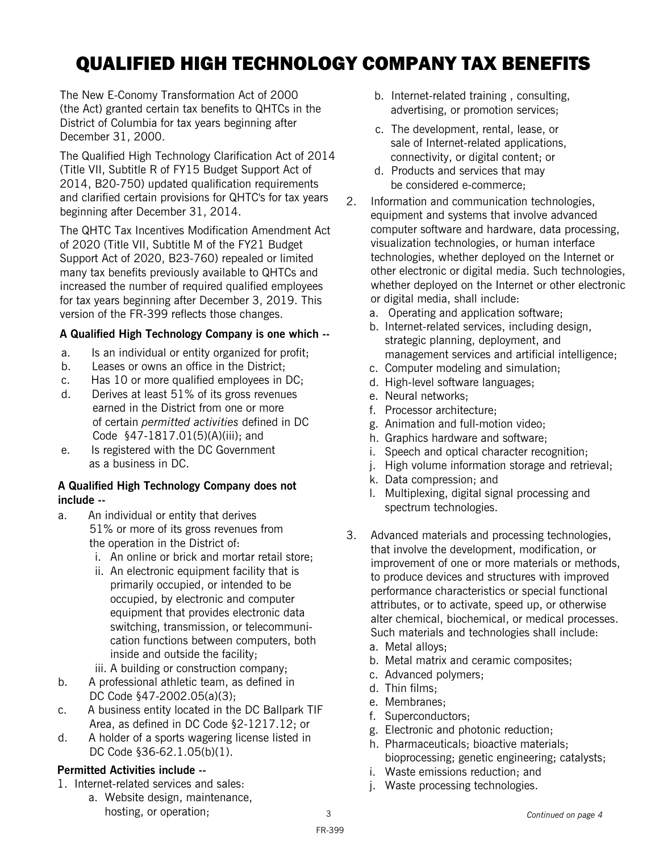## QUALIFIED HIGH TECHNOLOGY COMPANY TAX BENEFITS

The New E-Conomy Transformation Act of 2000 (the Act) granted certain tax benefits to QHTCs in the District of Columbia for tax years beginning after December 31, 2000.

The Qualified High Technology Clarification Act of 2014 (Title VII, Subtitle R of FY15 Budget Support Act of 2014, B20-750) updated qualification requirements and clarified certain provisions for QHTC's for tax years beginning after December 31, 2014.

The QHTC Tax Incentives Modification Amendment Act of 2020 (Title VII, Subtitle M of the FY21 Budget Support Act of 2020, B23-760) repealed or limited many tax benefits previously available to QHTCs and increased the number of required qualified employees for tax years beginning after December 3, 2019. This version of the FR-399 reflects those changes.

#### **A Qualified High Technology Company is one which --**

- a. Is an individual or entity organized for profit;
- b. Leases or owns an office in the District;
- c. Has 10 or more qualified employees in DC;
- d. Derives at least 51% of its gross revenues earned in the District from one or more of certain *permitted activities* defined in DC Code §47-1817.01(5)(A)(iii); and
- e. Is registered with the DC Government as a business in DC.

#### **A Qualified High Technology Company does not include --**

- a. An individual or entity that derives 51% or more of its gross revenues from the operation in the District of:
	- i. An online or brick and mortar retail store;
	- ii. An electronic equipment facility that is primarily occupied, or intended to be occupied, by electronic and computer equipment that provides electronic data switching, transmission, or telecommunication functions between computers, both inside and outside the facility;
	- iii. A building or construction company;
- b. A professional athletic team, as defined in DC Code §47-2002.05(a)(3);
- c. A business entity located in the DC Ballpark TIF Area, as defined in DC Code §2-1217.12; or
- d. A holder of a sports wagering license listed in DC Code §36-62.1.05(b)(1).

#### **Permitted Activities include --**

- 1. Internet-related services and sales:
	- a. Website design, maintenance, hosting, or operation;
- b. Internet-related training , consulting, advertising, or promotion services;
- c. The development, rental, lease, or sale of Internet-related applications, connectivity, or digital content; or
- d. Products and services that may be considered e-commerce;
- 2. Information and communication technologies, equipment and systems that involve advanced computer software and hardware, data processing, visualization technologies, or human interface technologies, whether deployed on the Internet or other electronic or digital media. Such technologies, whether deployed on the Internet or other electronic or digital media, shall include:
	- a. Operating and application software;
	- b. Internet-related services, including design, strategic planning, deployment, and management services and artificial intelligence;
	- c. Computer modeling and simulation;
	- d. High-level software languages;
	- e. Neural networks;
	- f. Processor architecture;
	- g. Animation and full-motion video;
	- h. Graphics hardware and software;
	- i. Speech and optical character recognition;
	- j. High volume information storage and retrieval;
	- k. Data compression; and
	- l. Multiplexing, digital signal processing and spectrum technologies.
- 3. Advanced materials and processing technologies, that involve the development, modification, or improvement of one or more materials or methods, to produce devices and structures with improved performance characteristics or special functional attributes, or to activate, speed up, or otherwise alter chemical, biochemical, or medical processes. Such materials and technologies shall include:
	- a. Metal alloys;
	- b. Metal matrix and ceramic composites;
	- c. Advanced polymers;
	- d. Thin films;
	- e. Membranes;
	- f. Superconductors;
	- g. Electronic and photonic reduction;
	- h. Pharmaceuticals; bioactive materials; bioprocessing; genetic engineering; catalysts;
	- i. Waste emissions reduction; and
	- j. Waste processing technologies.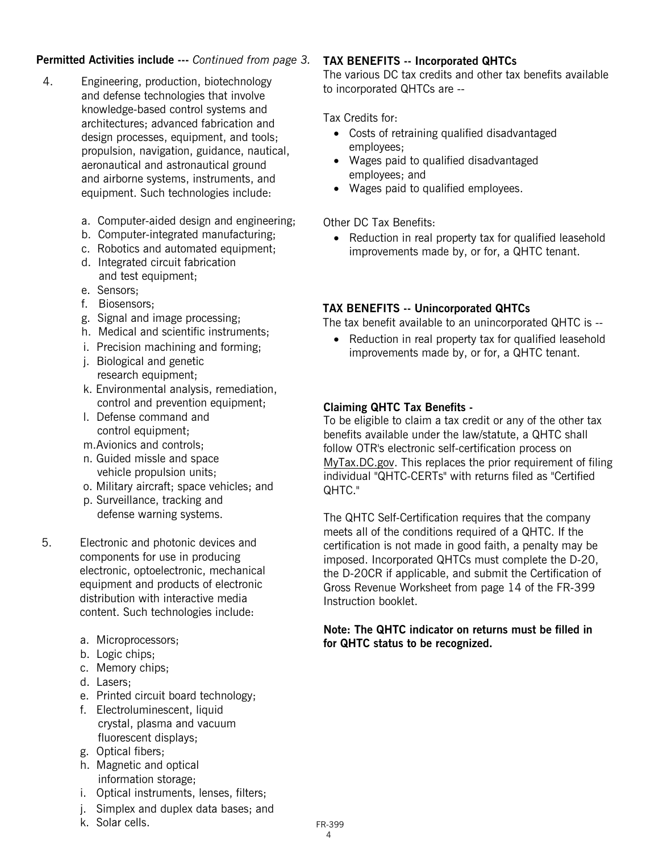#### **Permitted Activities include ---** *Continued from page 3.*

- 4. Engineering, production, biotechnology and defense technologies that involve knowledge-based control systems and architectures; advanced fabrication and design processes, equipment, and tools; propulsion, navigation, guidance, nautical, aeronautical and astronautical ground and airborne systems, instruments, and equipment. Such technologies include:
	- a. Computer-aided design and engineering;
	- b. Computer-integrated manufacturing;
	- c. Robotics and automated equipment;
	- d. Integrated circuit fabrication and test equipment;
	- e. Sensors;
	- f. Biosensors;
	- g. Signal and image processing;
	- h. Medical and scientific instruments;
	- i. Precision machining and forming;
	- j. Biological and genetic research equipment;
	- k. Environmental analysis, remediation, control and prevention equipment;
	- l. Defense command and control equipment;
	- m.Avionics and controls;
	- n. Guided missle and space vehicle propulsion units;
	- o. Military aircraft; space vehicles; and
	- p. Surveillance, tracking and defense warning systems.
- 5. Electronic and photonic devices and components for use in producing electronic, optoelectronic, mechanical equipment and products of electronic distribution with interactive media content. Such technologies include:
	- a. Microprocessors;
	- b. Logic chips;
	- c. Memory chips;
	- d. Lasers;
	- e. Printed circuit board technology;
	- f. Electroluminescent, liquid crystal, plasma and vacuum fluorescent displays;
	- g. Optical fibers;
	- h. Magnetic and optical information storage;
	- i. Optical instruments, lenses, filters;
	- j. Simplex and duplex data bases; and
	- k. Solar cells.

#### **TAX BENEFITS -- Incorporated QHTCs**

The various DC tax credits and other tax benefits available to incorporated QHTCs are --

Tax Credits for:

- Costs of retraining qualified disadvantaged employees;
- Wages paid to qualified disadvantaged employees; and
- Wages paid to qualified employees.

Other DC Tax Benefits:

• Reduction in real property tax for qualified leasehold improvements made by, or for, a QHTC tenant.

#### **TAX BENEFITS -- Unincorporated QHTCs**

The tax benefit available to an unincorporated QHTC is --

• Reduction in real property tax for qualified leasehold improvements made by, or for, a QHTC tenant.

#### **Claiming QHTC Tax Benefits -**

To be eligible to claim a tax credit or any of the other tax benefits available under the law/statute, a QHTC shall follow OTR's electronic self-certification process on MyTax.DC.gov. This replaces the prior requirement of filing individual "QHTC-CERTs" with returns filed as "Certified QHTC."

The QHTC Self-Certification requires that the company meets all of the conditions required of a QHTC. If the certification is not made in good faith, a penalty may be imposed. Incorporated QHTCs must complete the D-20, the D-20CR if applicable, and submit the Certification of Gross Revenue Worksheet from page 14 of the FR-399 Instruction booklet.

**Note: The QHTC indicator on returns must be filled in for QHTC status to be recognized.**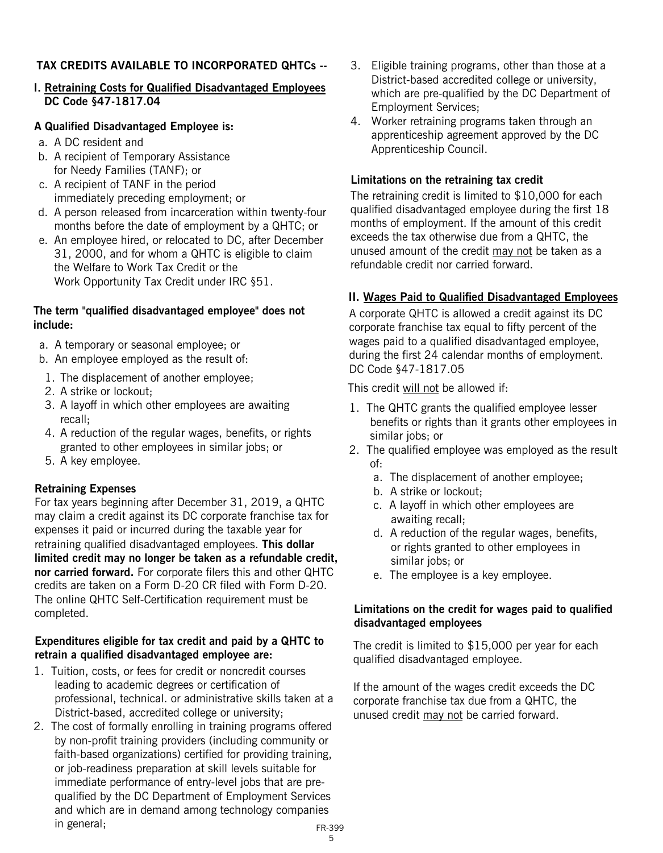#### **TAX CREDITS AVAILABLE TO INCORPORATED QHTCs --**

**I. Retraining Costs for Qualified Disadvantaged Employees DC Code §47-1817.04**

#### **A Qualified Disadvantaged Employee is:**

- a. A DC resident and
- b. A recipient of Temporary Assistance for Needy Families (TANF); or
- c. A recipient of TANF in the period immediately preceding employment; or
- d. A person released from incarceration within twenty-four months before the date of employment by a QHTC; or
- e. An employee hired, or relocated to DC, after December 31, 2000, and for whom a QHTC is eligible to claim the Welfare to Work Tax Credit or the Work Opportunity Tax Credit under IRC §51.

#### **The term "qualified disadvantaged employee" does not include:**

- a. A temporary or seasonal employee; or
- b. An employee employed as the result of:
- 1. The displacement of another employee;
- 2. A strike or lockout;
- 3. A layoff in which other employees are awaiting recall;
- 4. A reduction of the regular wages, benefits, or rights granted to other employees in similar jobs; or
- 5. A key employee.

#### **Retraining Expenses**

For tax years beginning after December 31, 2019, a QHTC may claim a credit against its DC corporate franchise tax for expenses it paid or incurred during the taxable year for retraining qualified disadvantaged employees. **This dollar limited credit may no longer be taken as a refundable credit, nor carried forward.** For corporate filers this and other QHTC credits are taken on a Form D-20 CR filed with Form D-20. The online QHTC Self-Certification requirement must be completed.

#### **Expenditures eligible for tax credit and paid by a QHTC to retrain a qualified disadvantaged employee are:**

- 1. Tuition, costs, or fees for credit or noncredit courses leading to academic degrees or certification of professional, technical. or administrative skills taken at a District-based, accredited college or university;
- 2. The cost of formally enrolling in training programs offered by non-profit training providers (including community or faith-based organizations) certified for providing training, or job-readiness preparation at skill levels suitable for immediate performance of entry-level jobs that are pre qualified by the DC Department of Employment Services and which are in demand among technology companies in general; FR-399
- 3. Eligible training programs, other than those at a District-based accredited college or university, which are pre-qualified by the DC Department of Employment Services;
- 4. Worker retraining programs taken through an apprenticeship agreement approved by the DC Apprenticeship Council.

#### **Limitations on the retraining tax credit**

The retraining credit is limited to \$10,000 for each qualified disadvantaged employee during the first 18 months of employment. If the amount of this credit exceeds the tax otherwise due from a QHTC, the unused amount of the credit may not be taken as a refundable credit nor carried forward.

#### **II. Wages Paid to Qualified Disadvantaged Employees**

A corporate QHTC is allowed a credit against its DC corporate franchise tax equal to fifty percent of the wages paid to a qualified disadvantaged employee, during the first 24 calendar months of employment. DC Code §47-1817.05

This credit will not be allowed if:

- 1. The QHTC grants the qualified employee lesser benefits or rights than it grants other employees in similar jobs; or
- 2. The qualified employee was employed as the result of:
	- a. The displacement of another employee;
	- b. A strike or lockout;
	- c. A layoff in which other employees are awaiting recall;
	- d. A reduction of the regular wages, benefits, or rights granted to other employees in similar jobs; or
	- e. The employee is a key employee.

#### **Limitations on the credit for wages paid to qualified disadvantaged employees**

The credit is limited to \$15,000 per year for each qualified disadvantaged employee.

If the amount of the wages credit exceeds the DC corporate franchise tax due from a QHTC, the unused credit may not be carried forward.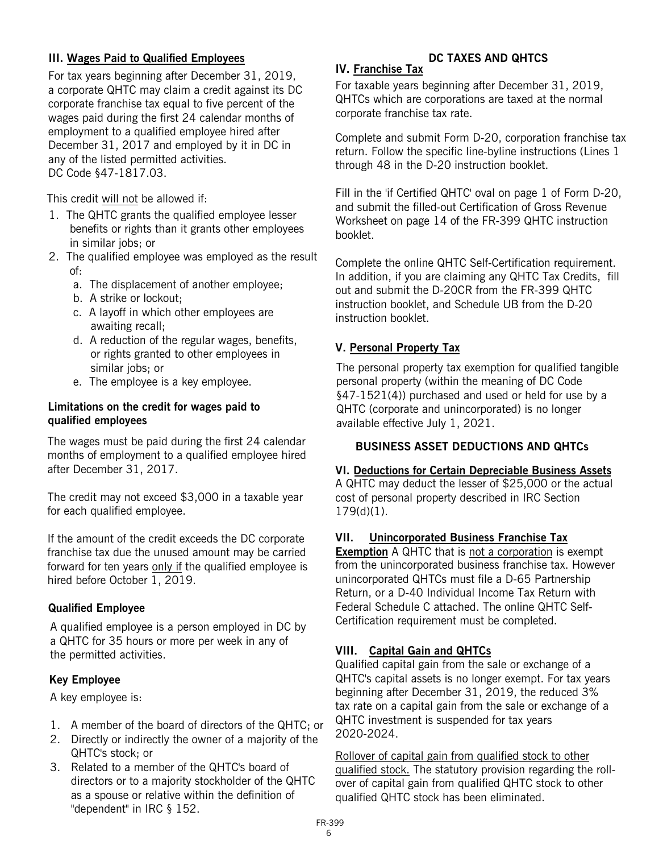#### **III. Wages Paid to Qualified Employees**

For tax years beginning after December 31, 2019, a corporate QHTC may claim a credit against its DC corporate franchise tax equal to five percent of the wages paid during the first 24 calendar months of employment to a qualified employee hired after December 31, 2017 and employed by it in DC in any of the listed permitted activities. DC Code §47-1817.03.

This credit will not be allowed if:

- 1. The QHTC grants the qualified employee lesser benefits or rights than it grants other employees in similar jobs; or
- 2. The qualified employee was employed as the result of:
	- a. The displacement of another employee;
	- b. A strike or lockout;
	- c. A layoff in which other employees are awaiting recall;
	- d. A reduction of the regular wages, benefits, or rights granted to other employees in similar jobs; or
	- e. The employee is a key employee.

#### **Limitations on the credit for wages paid to qualified employees**

The wages must be paid during the first 24 calendar months of employment to a qualified employee hired after December 31, 2017.

The credit may not exceed \$3,000 in a taxable year for each qualified employee.

If the amount of the credit exceeds the DC corporate franchise tax due the unused amount may be carried forward for ten years only if the qualified employee is hired before October 1, 2019.

#### **Qualified Employee**

A qualified employee is a person employed in DC by a QHTC for 35 hours or more per week in any of the permitted activities.

#### **Key Employee**

A key employee is:

- 1. A member of the board of directors of the QHTC; or
- 2. Directly or indirectly the owner of a majority of the QHTC's stock; or
- 3. Related to a member of the QHTC's board of directors or to a majority stockholder of the QHTC as a spouse or relative within the definition of "dependent" in IRC § 152.

#### **DC TAXES AND QHTCS**

#### **IV. Franchise Tax**

For taxable years beginning after December 31, 2019, QHTCs which are corporations are taxed at the normal corporate franchise tax rate.

Complete and submit Form D-20, corporation franchise tax return. Follow the specific line-byline instructions (Lines 1 through 48 in the D-20 instruction booklet.

Fill in the 'if Certified QHTC' oval on page 1 of Form D-20, and submit the filled-out Certification of Gross Revenue Worksheet on page 14 of the FR-399 QHTC instruction booklet.

Complete the online QHTC Self-Certification requirement. In addition, if you are claiming any QHTC Tax Credits, fill out and submit the D-20CR from the FR-399 QHTC instruction booklet, and Schedule UB from the D-20 instruction booklet.

#### **V. Personal Property Tax**

The personal property tax exemption for qualified tangible personal property (within the meaning of DC Code §47-1521(4)) purchased and used or held for use by a QHTC (corporate and unincorporated) is no longer available effective July 1, 2021.

#### **BUSINESS ASSET DEDUCTIONS AND QHTCs**

#### **VI. Deductions for Certain Depreciable Business Assets**

A QHTC may deduct the lesser of \$25,000 or the actual cost of personal property described in IRC Section 179(d)(1).

#### **VII. Unincorporated Business Franchise Tax**

**Exemption** A QHTC that is not a corporation is exempt from the unincorporated business franchise tax. However unincorporated QHTCs must file a D-65 Partnership Return, or a D-40 Individual Income Tax Return with Federal Schedule C attached. The online QHTC Self-Certification requirement must be completed.

#### **VIII. Capital Gain and QHTCs**

Qualified capital gain from the sale or exchange of a QHTC's capital assets is no longer exempt. For tax years beginning after December 31, 2019, the reduced 3% tax rate on a capital gain from the sale or exchange of a QHTC investment is suspended for tax years 2020-2024.

Rollover of capital gain from qualified stock to other qualified stock. The statutory provision regarding the rollover of capital gain from qualified QHTC stock to other qualified QHTC stock has been eliminated.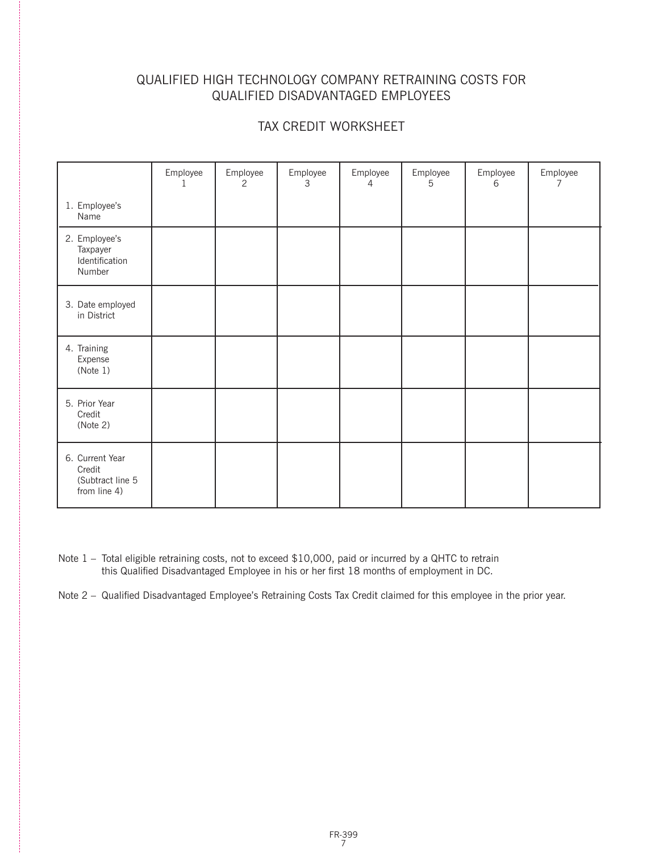#### QUALIFIED HIGH TECHNOLOGY COMPANY RETRAINING COSTS FOR QUALIFIED DISADVANTAGED EMPLOYEES

#### TAX CREDIT WORKSHEET

|                                                               | Employee<br>1 | Employee<br>2 | Employee<br>3 | Employee<br>4 | Employee<br>5 | Employee<br>6 | Employee<br>7 |
|---------------------------------------------------------------|---------------|---------------|---------------|---------------|---------------|---------------|---------------|
| 1. Employee's<br>Name                                         |               |               |               |               |               |               |               |
| 2. Employee's<br>Taxpayer<br>Identification<br>Number         |               |               |               |               |               |               |               |
| 3. Date employed<br>in District                               |               |               |               |               |               |               |               |
| 4. Training<br>Expense<br>(Note 1)                            |               |               |               |               |               |               |               |
| 5. Prior Year<br>Credit<br>(Note 2)                           |               |               |               |               |               |               |               |
| 6. Current Year<br>Credit<br>(Subtract line 5<br>from line 4) |               |               |               |               |               |               |               |

Note 1 – Total eligible retraining costs, not to exceed \$10,000, paid or incurred by a QHTC to retrain this Qualified Disadvantaged Employee in his or her first 18 months of employment in DC.

Note 2 – Qualified Disadvantaged Employee's Retraining Costs Tax Credit claimed for this employee in the prior year.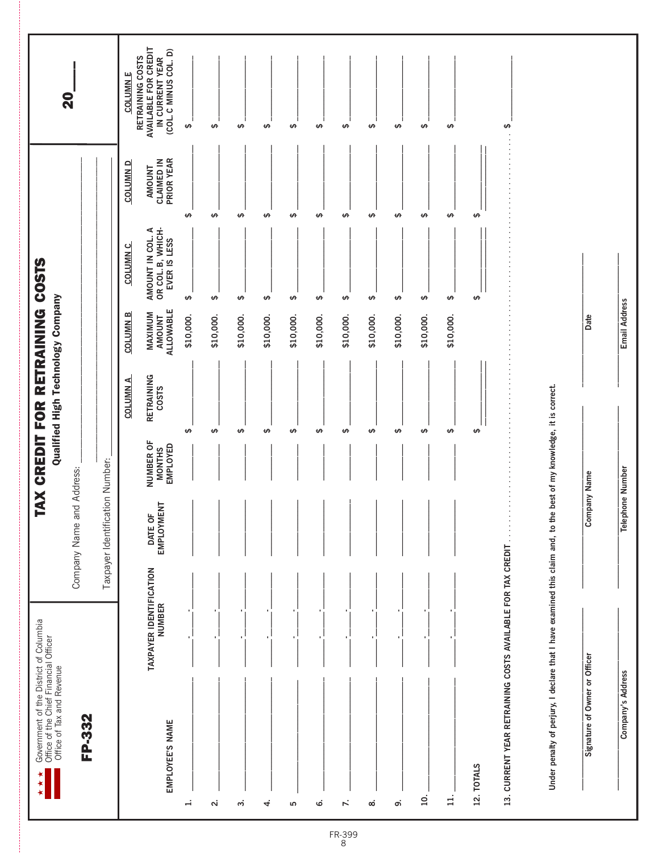| Government of the District of Columbia<br>Office of the Chief Financial Officer<br>Office of Tax and Revenue<br>∗<br>∗ |                                          |                                 | <b>TAX CREDIT FOR</b>                                | Qualified High Technology Company | RETRAINING COSTS                             |                                                       |                                    |                                                                                      |
|------------------------------------------------------------------------------------------------------------------------|------------------------------------------|---------------------------------|------------------------------------------------------|-----------------------------------|----------------------------------------------|-------------------------------------------------------|------------------------------------|--------------------------------------------------------------------------------------|
| FP-332                                                                                                                 |                                          | Company Name and Address:       |                                                      |                                   |                                              |                                                       |                                    | <b>Q</b>                                                                             |
|                                                                                                                        |                                          | Taxpayer Identification Number: |                                                      |                                   |                                              |                                                       |                                    |                                                                                      |
|                                                                                                                        |                                          |                                 |                                                      | <b>COLUMN A</b>                   | <b>COLUMN B</b>                              | <b>COLUMN C</b>                                       | <b>COLUMN D</b>                    | <b>COLUMN E</b>                                                                      |
| EMPLOYEE'S NAME                                                                                                        | TAXPAYER IDENTIFICATION<br><b>NUMBER</b> | EMPLOYMENT<br>DATE OF           | <b>NUMBER OF</b><br><b>EMPLOYED</b><br><b>MONTHS</b> | RETRAINING<br>COSTS               | <b>ALLOWABLE</b><br>MAXIMUM<br><b>AMOUNT</b> | OR COL. B, WHICH-<br>AMOUNT IN COL. A<br>EVER IS LESS | PRIOR YEAR<br>CLAIMED IN<br>AMOUNT | AVAILABLE FOR CREDIT<br>(COL. C MINUS COL. D)<br>RETRAINING COSTS<br>IN CURRENT YEAR |
| H                                                                                                                      |                                          |                                 |                                                      | $\theta$                          | \$10,000.                                    | $\pmb{\leftrightarrow}$                               | $\theta$                           | ↮                                                                                    |
| $\overline{\mathbf{a}}$                                                                                                |                                          |                                 |                                                      | ↮                                 | \$10,000.                                    | $\pmb{\varphi}$                                       | $\theta$                           | ↮                                                                                    |
| $\dot{\mathsf{c}}$                                                                                                     |                                          |                                 |                                                      | ↮                                 | \$10,000.                                    | $\pmb{\varphi}$                                       | $\theta$                           | $\pmb{\varphi}$                                                                      |
| 4                                                                                                                      |                                          |                                 |                                                      | $\pmb{\leftrightarrow}$           | \$10,000.                                    | $\pmb{\varphi}$                                       | $\theta$                           | $\pmb{\varphi}$                                                                      |
| ιΩ                                                                                                                     |                                          |                                 |                                                      | $\theta$                          | \$10,000.                                    | $\pmb{\leftrightarrow}$                               | $\theta$                           | $\Theta$                                                                             |
| ق                                                                                                                      |                                          |                                 |                                                      | $\theta$                          | \$10,000.                                    | $\Theta$                                              | $\theta$                           | $\Theta$                                                                             |
| $\ddot{\sim}$                                                                                                          |                                          |                                 |                                                      | ↮                                 | \$10,000.                                    | ↮                                                     | $\theta$                           | ↮                                                                                    |
| $\rm \dot{\infty}$                                                                                                     |                                          |                                 |                                                      | $\theta$                          | \$10,000.                                    | $\pmb{\varphi}$                                       | $\theta$                           | $\pmb{\varphi}$                                                                      |
| တ                                                                                                                      |                                          |                                 |                                                      | ↮                                 | \$10,000.                                    | $\pmb{\leftrightarrow}$                               | ↮                                  | ↮                                                                                    |
| $\overline{10}$ .                                                                                                      |                                          |                                 |                                                      | $\theta$                          | \$10,000.                                    | ↮                                                     | $\theta$                           | ↮                                                                                    |
| $\overline{1}$                                                                                                         |                                          |                                 |                                                      | $\theta$                          | \$10,000.                                    | $\pmb{\leftrightarrow}$                               | $\theta$                           | ↮                                                                                    |
| <b>12. TOTALS</b>                                                                                                      |                                          |                                 |                                                      | ↮                                 |                                              | ↮                                                     | ↮                                  |                                                                                      |
| 13. CURRENT YEAR RETRAINING COSTS AVAILABLE FOR TAX CREDIT                                                             |                                          |                                 |                                                      |                                   |                                              |                                                       |                                    | ↮                                                                                    |
| Under penalty of perjury, I declare that I have examined this claim and, to the                                        |                                          |                                 | best of my knowledge, it is correct.                 |                                   |                                              |                                                       |                                    |                                                                                      |
|                                                                                                                        |                                          |                                 |                                                      |                                   |                                              |                                                       |                                    |                                                                                      |
| Signature of Owner or Officer                                                                                          |                                          | Com                             | pany Name                                            |                                   | Date                                         |                                                       |                                    |                                                                                      |
| Company's Address                                                                                                      |                                          | <b>Telephone Number</b>         |                                                      |                                   | Email Address                                |                                                       |                                    |                                                                                      |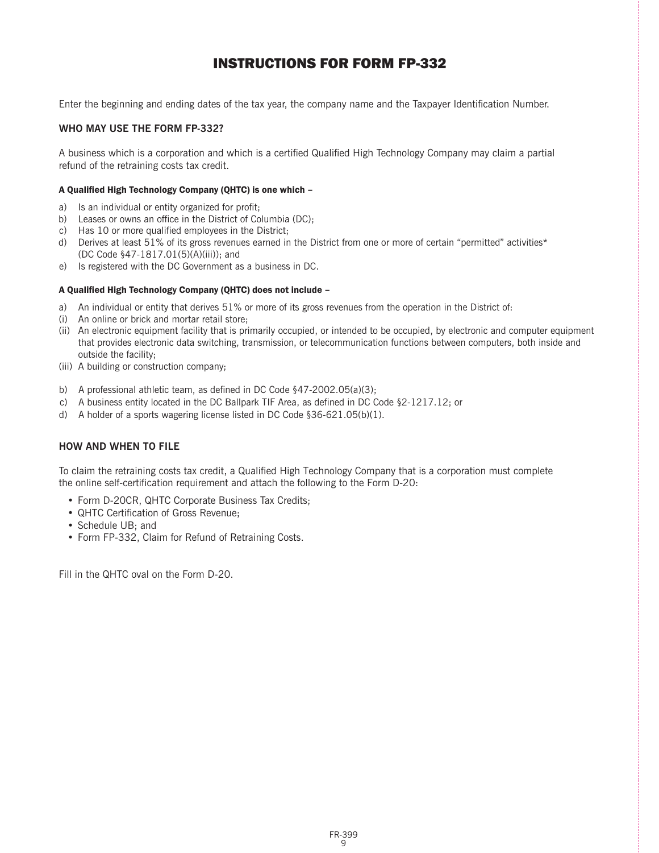#### INSTRUCTIONS FOR FORM FP-332

Enter the beginning and ending dates of the tax year, the company name and the Taxpayer Identification Number.

#### **WHO MAY USE THE FORM FP-332?**

A business which is a corporation and which is a certified Qualified High Technology Company may claim a partial refund of the retraining costs tax credit.

#### A Qualified High Technology Company (QHTC) is one which –

- a) Is an individual or entity organized for profit;
- b) Leases or owns an office in the District of Columbia (DC);
- c) Has 10 or more qualified employees in the District;
- d) Derives at least 51% of its gross revenues earned in the District from one or more of certain "permitted" activities\* (DC Code §47-1817.01(5)(A)(iii)); and
- e) Is registered with the DC Government as a business in DC.

#### A Qualified High Technology Company (QHTC) does not include –

- a) An individual or entity that derives 51% or more of its gross revenues from the operation in the District of:
- (i) An online or brick and mortar retail store;
- (ii) An electronic equipment facility that is primarily occupied, or intended to be occupied, by electronic and computer equipment that provides electronic data switching, transmission, or telecommunication functions between computers, both inside and outside the facility;
- (iii) A building or construction company;
- b) A professional athletic team, as defined in DC Code §47-2002.05(a)(3);
- c) A business entity located in the DC Ballpark TIF Area, as defined in DC Code §2-1217.12; or
- d) A holder of a sports wagering license listed in DC Code §36-621.05(b)(1).

#### **HOW AND WHEN TO FILE**

To claim the retraining costs tax credit, a Qualified High Technology Company that is a corporation must complete the online self-certification requirement and attach the following to the Form D-20:

- Form D-20CR, QHTC Corporate Business Tax Credits;
- QHTC Certification of Gross Revenue;
- Schedule UB; and
- Form FP-332, Claim for Refund of Retraining Costs.

Fill in the QHTC oval on the Form D-20.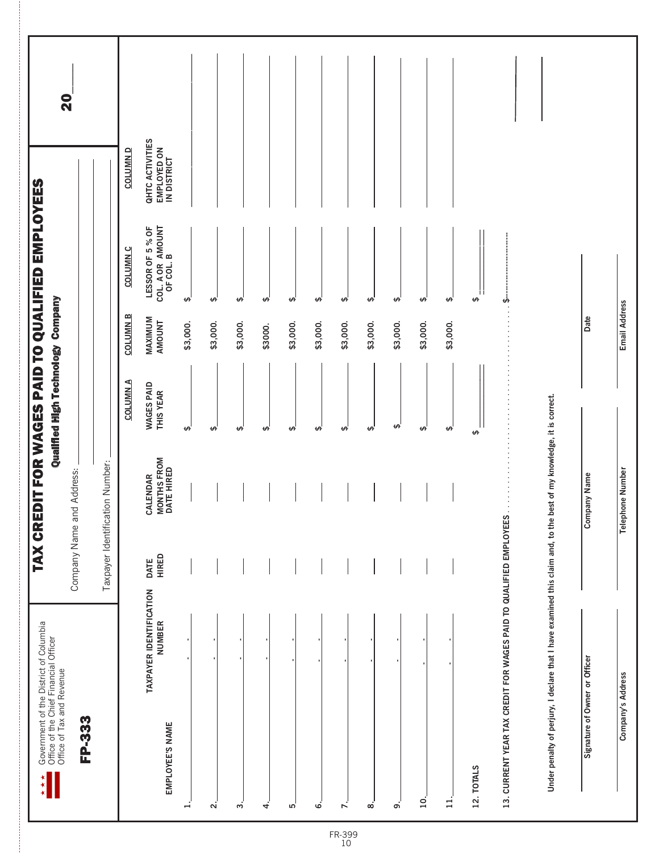| Government of the District of Columbia<br>Office of the Chief Financial Officer<br>Office of Tax and Revenue<br>* * * |                      | TAX CREDIT FOR WAGES PAID TO QUALIFIED EMPLOYEES | Qualified High Technology Company |                          |                                                   |                                               | $\overline{\mathbf{S}}$ |
|-----------------------------------------------------------------------------------------------------------------------|----------------------|--------------------------------------------------|-----------------------------------|--------------------------|---------------------------------------------------|-----------------------------------------------|-------------------------|
| FP-333                                                                                                                |                      | Company Name and Address:                        |                                   |                          |                                                   |                                               |                         |
|                                                                                                                       |                      | Taxpayer Identification Number:                  |                                   |                          |                                                   |                                               |                         |
|                                                                                                                       |                      |                                                  | <b>COLUMNA</b>                    | <b>COLUMN B</b>          | <b>COLUMN C</b>                                   | <b>COLUMN D</b>                               |                         |
| <b>TAXPAYER IDENTIFICATION</b><br><b>NUMBER</b><br>EMPLOYEE'S NAME                                                    | <b>HIRED</b><br>DATE | CALENDAR<br>MONTHS FROM<br>DATE HIRED            | <b>WAGES PAID</b><br>THIS YEAR    | MAXIMUM<br><b>AMOUNT</b> | COL. A OR AMOUNT<br>OF COL. B<br>LESSOR OF 5 % OF | QHTC ACTIVITIES<br>EMPLOYED ON<br>IN DISTRICT |                         |
| H                                                                                                                     |                      |                                                  | $\pmb{\leftrightarrow}$           | \$3,000.                 | $\pmb{\leftrightarrow}$                           |                                               |                         |
| $\mathbf{a}$                                                                                                          |                      |                                                  | ↮                                 | \$3,000.                 | ₩                                                 |                                               |                         |
| $\dot{\mathsf m}$                                                                                                     |                      |                                                  | $\pmb{\leftrightarrow}$           | \$3,000.                 | $\pmb{\leftrightarrow}$                           |                                               |                         |
| 4                                                                                                                     |                      |                                                  | ↮                                 | \$3000.                  | ₩,                                                |                                               |                         |
| ம                                                                                                                     |                      |                                                  | ₩,                                | \$3,000.                 | $\theta$                                          |                                               |                         |
| ق                                                                                                                     |                      |                                                  | $\pmb{\leftrightarrow}$           | \$3,000.                 | $\pmb{\leftrightarrow}$                           |                                               |                         |
| $\mathbf{r}$                                                                                                          |                      |                                                  | $\Theta$                          | \$3,000.                 | ക്                                                |                                               |                         |
| ထံ                                                                                                                    |                      |                                                  | ₩                                 | \$3,000.                 | $\theta$                                          |                                               |                         |
| ெ                                                                                                                     |                      |                                                  | $\theta$                          | \$3,000.                 | $\pmb{\varphi}$                                   |                                               |                         |
| 10.                                                                                                                   |                      |                                                  | $\pmb{\varphi}$                   | \$3,000.                 | $\pmb{\varphi}$                                   |                                               |                         |
| $\Xi$                                                                                                                 |                      |                                                  | ₩                                 | \$3,000.                 | ₩,                                                |                                               |                         |
| 12. TOTALS                                                                                                            |                      |                                                  | ↮                                 |                          | ↮                                                 |                                               |                         |
| 13. CURRENT YEAR TAX CREDIT FOR WAGES PAID TO QUALIFIED EMPLOYEES                                                     |                      |                                                  |                                   |                          | لمه                                               |                                               |                         |
| Under penalty of perjury, I declare that I have examined this claim and, to the best of my knowledge, it is correct.  |                      |                                                  |                                   |                          |                                                   |                                               |                         |
| Signature of Owner or Officer                                                                                         |                      | <b>Company Name</b>                              |                                   | Date                     |                                                   |                                               |                         |
| Company's Address                                                                                                     |                      | <b>Telephone Number</b>                          |                                   | Email Address            |                                                   |                                               |                         |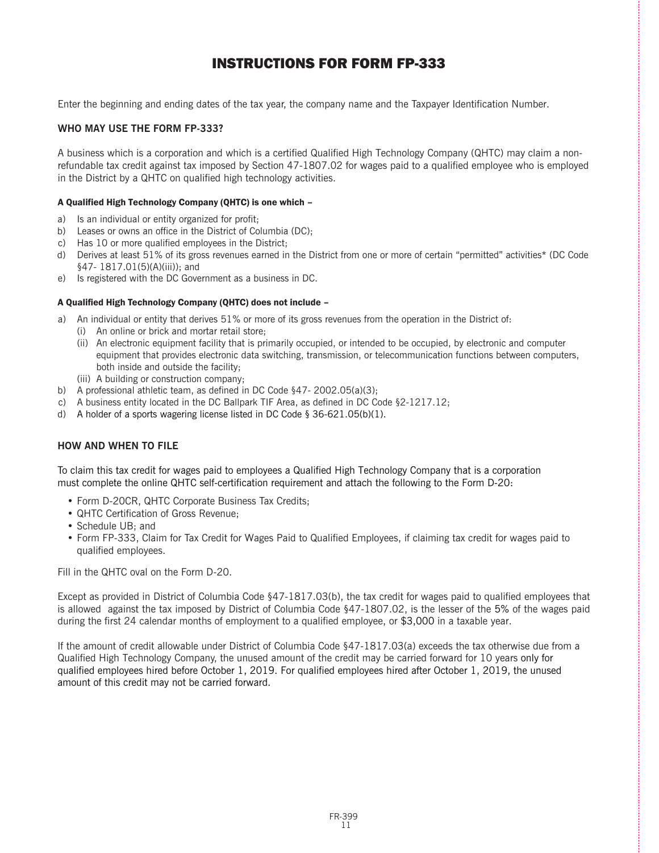#### INSTRUCTIONS FOR FORM FP-333

Enter the beginning and ending dates of the tax year, the company name and the Taxpayer Identification Number.

#### **WHO MAY USE THE FORM FP-333?**

A business which is a corporation and which is a certified Qualified High Technology Company (QHTC) may claim a nonrefundable tax credit against tax imposed by Section 47-1807.02 for wages paid to a qualified employee who is employed in the District by a QHTC on qualified high technology activities.

#### A Qualified High Technology Company (QHTC) is one which –

- a) Is an individual or entity organized for profit;
- b) Leases or owns an office in the District of Columbia (DC);
- c) Has 10 or more qualified employees in the District;
- d) Derives at least 51% of its gross revenues earned in the District from one or more of certain "permitted" activities\* (DC Code §47- 1817.01(5)(A)(iii)); and
- e) Is registered with the DC Government as a business in DC.

#### A Qualified High Technology Company (QHTC) does not include –

- a) An individual or entity that derives 51% or more of its gross revenues from the operation in the District of:
	- (i) An online or brick and mortar retail store;
		- (ii) An electronic equipment facility that is primarily occupied, or intended to be occupied, by electronic and computer equipment that provides electronic data switching, transmission, or telecommunication functions between computers, both inside and outside the facility;
		- (iii) A building or construction company;
- b) A professional athletic team, as defined in DC Code §47- 2002.05(a)(3);
- c) A business entity located in the DC Ballpark TIF Area, as defined in DC Code  $\S2-1217.12$ ;
- d) A holder of a sports wagering license listed in DC Code § 36-621.05(b)(1).

#### **HOW AND WHEN TO FILE**

To claim this tax credit for wages paid to employees a Qualified High Technology Company that is a corporation must complete the online QHTC self-certification requirement and attach the following to the Form D-20:

- Form D-20CR, QHTC Corporate Business Tax Credits;
- QHTC Certification of Gross Revenue;
- Schedule UB; and
- Form FP-333, Claim for Tax Credit for Wages Paid to Qualified Employees, if claiming tax credit for wages paid to qualified employees.

Fill in the QHTC oval on the Form D-20.

Except as provided in District of Columbia Code §47-1817.03(b), the tax credit for wages paid to qualified employees that is allowed against the tax imposed by District of Columbia Code §47-1807.02, is the lesser of the 5% of the wages paid during the first 24 calendar months of employment to a qualified employee, or \$3,000 in a taxable year.

If the amount of credit allowable under District of Columbia Code §47-1817.03(a) exceeds the tax otherwise due from a Qualified High Technology Company, the unused amount of the credit may be carried forward for 10 years only for qualified employees hired before October 1, 2019. For qualified employees hired after October 1, 2019, the unused amount of this credit may not be carried forward.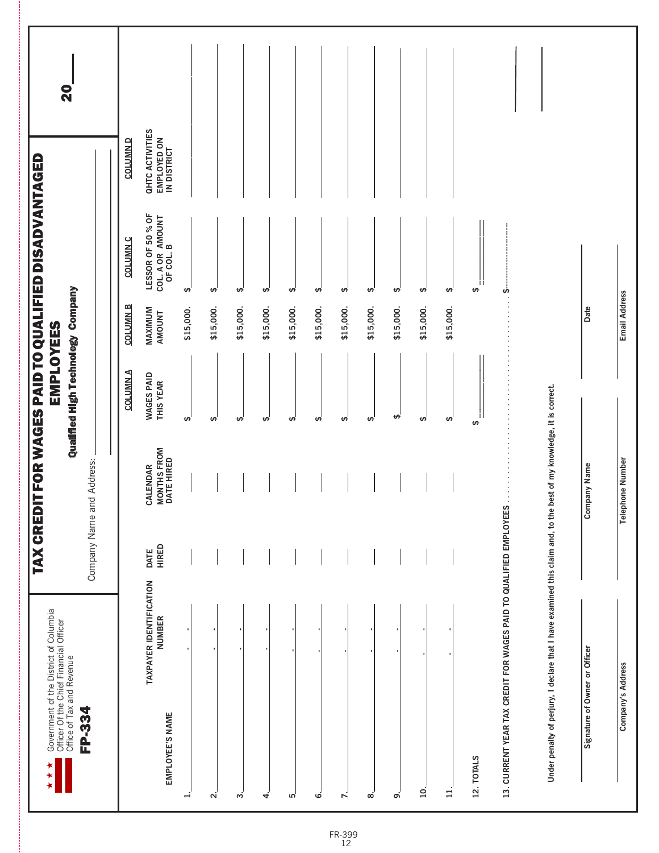| Government of the District of Columbia<br>Officer Of the Chief Financial Officer<br>Office of Tax and Revenue        | <b>TAX CRED</b>      |                                               | Qualified High Technology Company<br><b>EMPLOYEES</b> |                   | IT FOR WAGES PAID TO QUALIFIED DISADVANTAGED       |                                               | 20 |
|----------------------------------------------------------------------------------------------------------------------|----------------------|-----------------------------------------------|-------------------------------------------------------|-------------------|----------------------------------------------------|-----------------------------------------------|----|
| FP-334                                                                                                               |                      | Company Name and Address:                     |                                                       |                   |                                                    |                                               |    |
|                                                                                                                      |                      |                                               | <b>COLUMNA</b>                                        | <b>COLUMN B</b>   | <b>COLUMN C</b>                                    | <b>COLUMN D</b>                               |    |
| TAXPAYER IDENTIFICATION<br><b>NUMBER</b><br>EMPLOYEE'S NAME                                                          | <b>HIRED</b><br>DATE | <b>MONTHS FROM<br/>DATE HIRED</b><br>CALENDAR | <b>WAGES PAID</b><br>THIS YEAR                        | MAXIMUM<br>AMOUNT | LESSOR OF 50 % OF<br>COL. A OR AMOUNT<br>OF COL. B | QHTC ACTIVITIES<br>EMPLOYED ON<br>IN DISTRICT |    |
| ≓                                                                                                                    |                      |                                               | $\Theta$                                              | \$15,000.         | $\overline{\mathbf{v}}$                            |                                               |    |
| Νi                                                                                                                   |                      |                                               | ₩                                                     | \$15,000.         | $\pmb{\leftrightarrow}$                            |                                               |    |
| ω.                                                                                                                   |                      |                                               | $\theta$                                              | \$15,000.         | ₩,                                                 |                                               |    |
| 4.                                                                                                                   |                      |                                               | ₩                                                     | \$15,000.         | ₩                                                  |                                               |    |
| ທ່                                                                                                                   |                      |                                               | ₩                                                     | \$15,000.         | ₩                                                  |                                               |    |
| ق                                                                                                                    |                      |                                               | $\theta$                                              | \$15,000.         | ₩                                                  |                                               |    |
| $\mathbf{r}$                                                                                                         |                      |                                               | ₩,                                                    | \$15,000.         | ₩,                                                 |                                               |    |
| ∞                                                                                                                    |                      |                                               | $\pmb{\varphi}$                                       | \$15,000.         | $\theta$                                           |                                               |    |
| ດ່                                                                                                                   |                      |                                               | $\theta$                                              | \$15,000.         | $\theta$                                           |                                               |    |
| $\overline{10}$ .                                                                                                    |                      |                                               | ക്                                                    | \$15,000.         | $\theta$                                           |                                               |    |
| ∄                                                                                                                    |                      |                                               | ₩,                                                    | \$15,000.         | $\theta$                                           |                                               |    |
| 12. TOTALS                                                                                                           |                      |                                               | ↮                                                     |                   | ↮                                                  |                                               |    |
| 13. CURRENT YEAR TAX CREDIT FOR WAGES PAID TO QUALIFIED EMPLOYEES                                                    |                      |                                               |                                                       |                   | டி்                                                |                                               |    |
| Under penalty of perjury, I declare that I have examined this claim and, to the best of my knowledge, it is correct. |                      |                                               |                                                       |                   |                                                    |                                               |    |
| Signature of Owner or Officer                                                                                        |                      | <b>Company Name</b>                           |                                                       | Date              |                                                    |                                               |    |
| Company's Address                                                                                                    |                      | <b>Telephone Number</b>                       |                                                       | Email Address     |                                                    |                                               |    |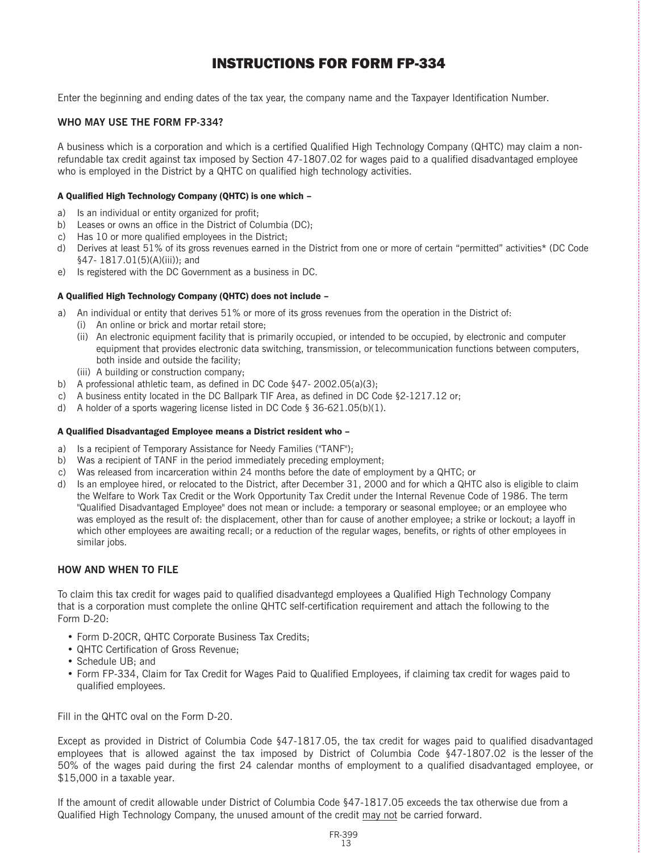#### INSTRUCTIONS FOR FORM FP-334

Enter the beginning and ending dates of the tax year, the company name and the Taxpayer Identification Number.

#### **WHO MAY USE THE FORM FP-334?**

A business which is a corporation and which is a certified Qualified High Technology Company (QHTC) may claim a nonrefundable tax credit against tax imposed by Section 47-1807.02 for wages paid to a qualified disadvantaged employee who is employed in the District by a QHTC on qualified high technology activities.

#### A Qualified High Technology Company (QHTC) is one which –

- a) Is an individual or entity organized for profit;
- b) Leases or owns an office in the District of Columbia (DC);
- c) Has 10 or more qualified employees in the District;
- d) Derives at least 51% of its gross revenues earned in the District from one or more of certain "permitted" activities\* (DC Code §47- 1817.01(5)(A)(iii)); and
- e) Is registered with the DC Government as a business in DC.

#### A Qualified High Technology Company (QHTC) does not include –

- a) An individual or entity that derives 51% or more of its gross revenues from the operation in the District of:
	- (i) An online or brick and mortar retail store;
	- (ii) An electronic equipment facility that is primarily occupied, or intended to be occupied, by electronic and computer equipment that provides electronic data switching, transmission, or telecommunication functions between computers, both inside and outside the facility;
	- (iii) A building or construction company;
- b) A professional athletic team, as defined in DC Code §47- 2002.05(a)(3);
- c) A business entity located in the DC Ballpark TIF Area, as defined in DC Code §2-1217.12 or;
- d) A holder of a sports wagering license listed in DC Code § 36-621.05(b)(1).

#### A Qualified Disadvantaged Employee means a District resident who –

- a) Is a recipient of Temporary Assistance for Needy Families ("TANF");
- b) Was a recipient of TANF in the period immediately preceding employment;
- c) Was released from incarceration within 24 months before the date of employment by a QHTC; or
- d) Is an employee hired, or relocated to the District, after December 31, 2000 and for which a QHTC also is eligible to claim the Welfare to Work Tax Credit or the Work Opportunity Tax Credit under the Internal Revenue Code of 1986. The term "Qualified Disadvantaged Employee" does not mean or include: a temporary or seasonal employee; or an employee who was employed as the result of: the displacement, other than for cause of another employee; a strike or lockout; a layoff in which other employees are awaiting recall; or a reduction of the regular wages, benefits, or rights of other employees in similar jobs.

#### **HOW AND WHEN TO FILE**

To claim this tax credit for wages paid to qualified disadvantegd employees a Qualified High Technology Company that is a corporation must complete the online QHTC self-certification requirement and attach the following to the Form D-20:

- Form D-20CR, QHTC Corporate Business Tax Credits;
- QHTC Certification of Gross Revenue;
- Schedule UB; and
- Form FP-334, Claim for Tax Credit for Wages Paid to Qualified Employees, if claiming tax credit for wages paid to qualified employees.

Fill in the QHTC oval on the Form D-20.

Except as provided in District of Columbia Code §47-1817.05, the tax credit for wages paid to qualified disadvantaged employees that is allowed against the tax imposed by District of Columbia Code §47-1807.02 is the lesser of the 50% of the wages paid during the first 24 calendar months of employment to a qualified disadvantaged employee, or \$15,000 in a taxable year.

If the amount of credit allowable under District of Columbia Code §47-1817.05 exceeds the tax otherwise due from a Qualified High Technology Company, the unused amount of the credit may not be carried forward.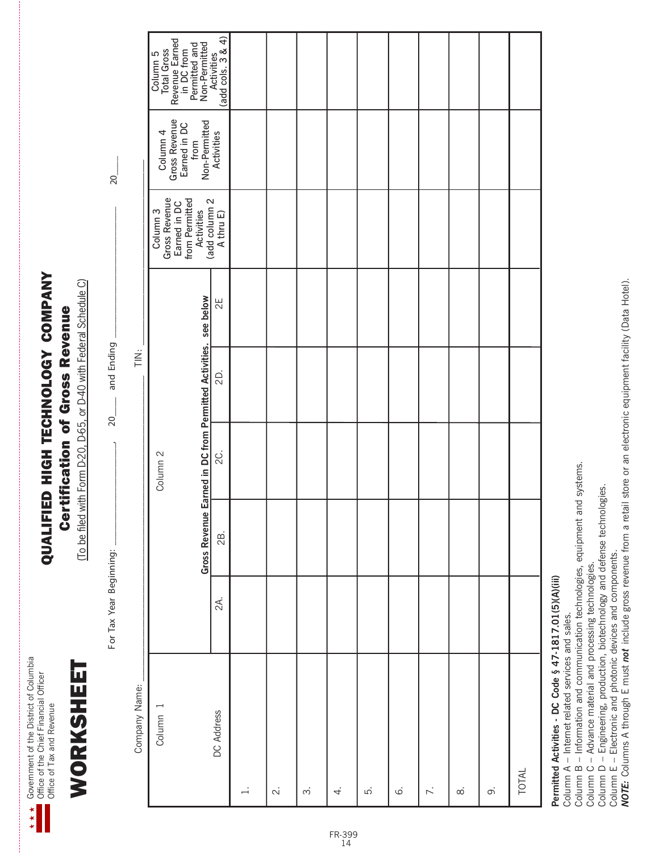Govemment of the District of Columbia<br>Office of the Chief Financial Officer Government of the District of Columbia Office of the Chief Financial Officer Office of Tax and Revenue Office of Tax and Revenue

WORKSHEET

WORKSHEET

# QUALIFIED HIGH TECHNOLOGY COMPANY QUALIFIED HIGH TECHNOLOGY COMPANY **Certification of Gross Revenue** Certification of Gross Revenue

(To be filed with Form D-20, D-65, or D-40 with Federal Schedule C) (To be filed with Form D-20, D-65, or D-40 with Federal Schedule C)

For Tax Year Beginning: \_\_\_\_\_\_\_\_\_\_\_\_\_\_\_,  $20$  \_\_\_\_\_\_ and Ending \_\_\_\_\_\_\_\_\_\_\_\_\_\_\_\_\_ and Ending  $20$ For Tax Year Beginning:

 $20$ 

|  |  | Ż<br>TIK |
|--|--|----------|
|  |  |          |
|  |  |          |
|  |  |          |
|  |  |          |

| Company Name:<br>$\overline{ }$<br>DC Address<br>Column<br>$\div$<br>$\overline{\mathcal{N}}$<br>ξ.<br>$\dot{\circ}$<br>$\dot{\infty}$<br>$\overline{4}$ | 2A. | <b>Gross Revenue</b><br>2B. | Earned in DC from Permitted Activities. see below<br>Q.<br>Column <sub>2</sub> | $\sum_{i=1}^{n}$<br>2D. | 2E | Gross Revenue<br>Earned in DC<br>from Permitted<br>Activities<br>(add column 2<br>(add column 2<br>Column <sub>3</sub> | Column 4<br>Gross Revenue<br>Earned in DC<br>Mon-Permitted<br>Non-Permitted | Column 5<br>Total Gross<br>Revenue Earned<br>in DC from<br>Permitted and<br>Non-Permitted<br>Activities<br>(add cols. 3 & 4) |
|----------------------------------------------------------------------------------------------------------------------------------------------------------|-----|-----------------------------|--------------------------------------------------------------------------------|-------------------------|----|------------------------------------------------------------------------------------------------------------------------|-----------------------------------------------------------------------------|------------------------------------------------------------------------------------------------------------------------------|
| TOTAL<br>$\overline{\wedge}$<br>$\ddot{\circ}$<br>$\infty$                                                                                               |     |                             |                                                                                |                         |    |                                                                                                                        |                                                                             |                                                                                                                              |
| Permitted Activities - DC Code & 47-1817 01(5)(A)(iii)                                                                                                   |     |                             |                                                                                |                         |    |                                                                                                                        |                                                                             |                                                                                                                              |

**Permitted Activities - DC Code § 47-1817.01(5)(A)(iii)**

Column A – Internet related services and sales.

Permitted Activities - DC Code § 47-1817.01(5)(A)(III)<br>Column A – Internet related services and sales.<br>Column B – Information and communication technologies, equipment and systems. Column B – Information and communication technologies, equipment and systems.

Column C - Advance material and processing technologies. Column C – Advance material and processing technologies.

Column D - Engineering, production, biotechnology and defense technologies. Column D – Engineering, production, biotechnology and defense technologies.

Column E – Electronic and photonic devices and components.

Column E – Electronic and photonic devices and components.<br>**NOTE:** Columns A through E must *not* include gross revenue from a retail store or an electronic equipment facility (Data Hotel). *NOTE:* Columns A through E must *not* include gross revenue from a retail store or an electronic equipment facility (Data Hotel).